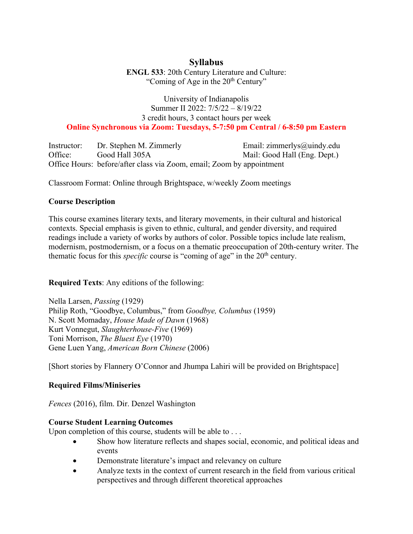# **Syllabus**

**ENGL 533**: 20th Century Literature and Culture: "Coming of Age in the  $20<sup>th</sup>$  Century"

## University of Indianapolis Summer II 2022: 7/5/22 – 8/19/22 3 credit hours, 3 contact hours per week **Online Synchronous via Zoom: Tuesdays, 5-7:50 pm Central / 6-8:50 pm Eastern**

Instructor: Dr. Stephen M. Zimmerly Email: zimmerlys@uindy.edu Office: Good Hall 305A Mail: Good Hall (Eng. Dept.) Office Hours: before/after class via Zoom, email; Zoom by appointment

Classroom Format: Online through Brightspace, w/weekly Zoom meetings

# **Course Description**

This course examines literary texts, and literary movements, in their cultural and historical contexts. Special emphasis is given to ethnic, cultural, and gender diversity, and required readings include a variety of works by authors of color. Possible topics include late realism, modernism, postmodernism, or a focus on a thematic preoccupation of 20th-century writer. The thematic focus for this *specific* course is "coming of age" in the 20<sup>th</sup> century.

# **Required Texts**: Any editions of the following:

Nella Larsen, *Passing* (1929) Philip Roth, "Goodbye, Columbus," from *Goodbye, Columbus* (1959) N. Scott Momaday, *House Made of Dawn* (1968) Kurt Vonnegut, *Slaughterhouse-Five* (1969) Toni Morrison, *The Bluest Eye* (1970) Gene Luen Yang, *American Born Chinese* (2006)

[Short stories by Flannery O'Connor and Jhumpa Lahiri will be provided on Brightspace]

# **Required Films/Miniseries**

*Fences* (2016), film. Dir. Denzel Washington

## **Course Student Learning Outcomes**

Upon completion of this course, students will be able to ...

- Show how literature reflects and shapes social, economic, and political ideas and events
- Demonstrate literature's impact and relevancy on culture
- Analyze texts in the context of current research in the field from various critical perspectives and through different theoretical approaches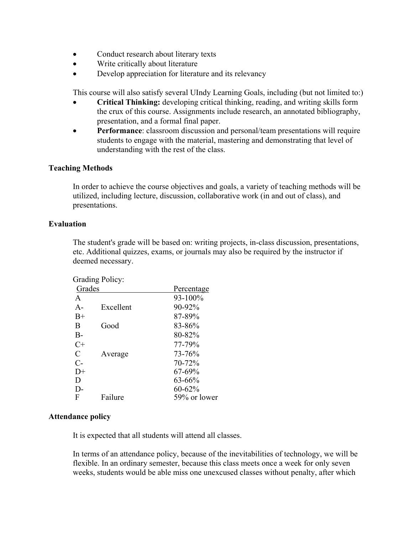- Conduct research about literary texts
- Write critically about literature
- Develop appreciation for literature and its relevancy

This course will also satisfy several UIndy Learning Goals, including (but not limited to:)

- **Critical Thinking:** developing critical thinking, reading, and writing skills form the crux of this course. Assignments include research, an annotated bibliography, presentation, and a formal final paper.
- **Performance**: classroom discussion and personal/team presentations will require students to engage with the material, mastering and demonstrating that level of understanding with the rest of the class.

## **Teaching Methods**

In order to achieve the course objectives and goals, a variety of teaching methods will be utilized, including lecture, discussion, collaborative work (in and out of class), and presentations.

#### **Evaluation**

The student's grade will be based on: writing projects, in-class discussion, presentations, etc. Additional quizzes, exams, or journals may also be required by the instructor if deemed necessary.

|                   | <b>Grading Policy:</b> |              |
|-------------------|------------------------|--------------|
| Grades            |                        | Percentage   |
| A                 |                        | 93-100%      |
| $A -$             | Excellent              | 90-92%       |
| $B+$              |                        | 87-89%       |
| B                 | Good                   | 83-86%       |
| $B -$             |                        | 80-82%       |
| $C+$              |                        | 77-79%       |
| $\mathcal{C}_{0}$ | Average                | 73-76%       |
| $C$ -             |                        | 70-72%       |
| $D+$              |                        | 67-69%       |
| D                 |                        | 63-66%       |
| D-                |                        | 60-62%       |
| F                 | Failure                | 59% or lower |

## **Attendance policy**

It is expected that all students will attend all classes.

In terms of an attendance policy, because of the inevitabilities of technology, we will be flexible. In an ordinary semester, because this class meets once a week for only seven weeks, students would be able miss one unexcused classes without penalty, after which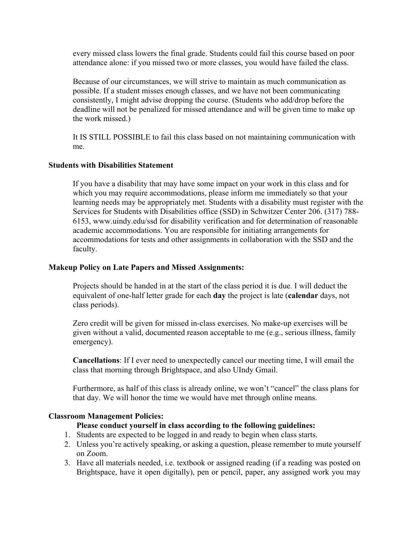every missed class lowers the final grade. Students could fail this course based on poor attendance alone: if you missed two or more classes, you would have failed the class.

Because of our circumstances, we will strive to maintain as much communication as possible. If a student misses enough classes, and we have not been communicating consistently, I might advise dropping the course. (Students who add/drop before the deadline will not be penalized for missed attendance and will be given time to make up the work missed.)

It IS STILL POSSIBLE to fail this class based on not maintaining communication with me.

## **Students with Disabilities Statement**

If you have a disability that may have some impact on your work in this class and for which you may require accommodations, please inform me immediately so that your learning needs may be appropriately met. Students with a disability must register with the Services for Students with Disabilities office (SSD) in Schwitzer Center 206. (317) 788- 6153, www.uindy.edu/ssd for disability verification and for determination of reasonable academic accommodations. You are responsible for initiating arrangements for accommodations for tests and other assignments in collaboration with the SSD and the faculty.

## **Makeup Policy on Late Papers and Missed Assignments:**

Projects should be handed in at the start of the class period it is due. I will deduct the equivalent of one-half letter grade for each **day** the project is late (**calendar** days, not class periods).

Zero credit will be given for missed in-class exercises. No make-up exercises will be given without a valid, documented reason acceptable to me (e.g., serious illness, family emergency).

**Cancellations**: If I ever need to unexpectedly cancel our meeting time, I will email the class that morning through Brightspace, and also UIndy Gmail.

Furthermore, as half of this class is already online, we won't "cancel" the class plans for that day. We will honor the time we would have met through online means.

## **Classroom Management Policies:**

## **Please conduct yourself in class according to the following guidelines:**

- 1. Students are expected to be logged in and ready to begin when class starts.
- 2. Unless you're actively speaking, or asking a question, please remember to mute yourself on Zoom.
- 3. Have all materials needed, i.e. textbook or assigned reading (if a reading was posted on Brightspace, have it open digitally), pen or pencil, paper, any assigned work you may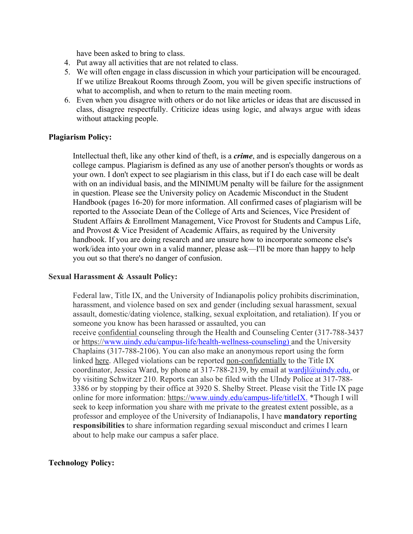have been asked to bring to class.

- 4. Put away all activities that are not related to class.
- 5. We will often engage in class discussion in which your participation will be encouraged. If we utilize Breakout Rooms through Zoom, you will be given specific instructions of what to accomplish, and when to return to the main meeting room.
- 6. Even when you disagree with others or do not like articles or ideas that are discussed in class, disagree respectfully. Criticize ideas using logic, and always argue with ideas without attacking people.

## **Plagiarism Policy:**

Intellectual theft, like any other kind of theft, is a *crime*, and is especially dangerous on a college campus. Plagiarism is defined as any use of another person's thoughts or words as your own. I don't expect to see plagiarism in this class, but if I do each case will be dealt with on an individual basis, and the MINIMUM penalty will be failure for the assignment in question. Please see the University policy on Academic Misconduct in the Student Handbook (pages 16-20) for more information. All confirmed cases of plagiarism will be reported to the Associate Dean of the College of Arts and Sciences, Vice President of Student Affairs & Enrollment Management, Vice Provost for Students and Campus Life, and Provost & Vice President of Academic Affairs, as required by the University handbook. If you are doing research and are unsure how to incorporate someone else's work/idea into your own in a valid manner, please ask—I'll be more than happy to help you out so that there's no danger of confusion.

## **Sexual Harassment & Assault Policy:**

Federal law, Title IX, and the University of Indianapolis policy prohibits discrimination, harassment, and violence based on sex and gender (including sexual harassment, sexual assault, domestic/dating violence, stalking, sexual exploitation, and retaliation). If you or someone you know has been harassed or assaulted, you can receive confidential counseling through the Health and Counseling Center (317-788-3437 or https://www.uindy.edu/campus-life/health-wellness-counseling) and the University Chaplains (317-788-2106). You can also make an anonymous report using the form linked here. Alleged violations can be reported non-confidentially to the Title IX coordinator, Jessica Ward, by phone at 317-788-2139, by email at wardjl@uindy.edu, or by visiting Schwitzer 210. Reports can also be filed with the UIndy Police at 317-788- 3386 or by stopping by their office at 3920 S. Shelby Street. Please visit the Title IX page online for more information: https://www.uindy.edu/campus-life/titleIX. \*Though I will seek to keep information you share with me private to the greatest extent possible, as a professor and employee of the University of Indianapolis, I have **mandatory reporting responsibilities** to share information regarding sexual misconduct and crimes I learn about to help make our campus a safer place.

## **Technology Policy:**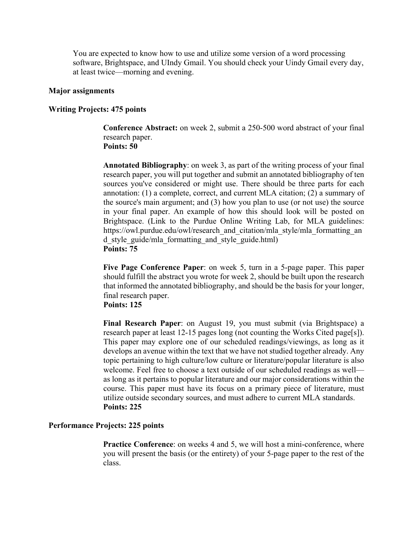You are expected to know how to use and utilize some version of a word processing software, Brightspace, and UIndy Gmail. You should check your Uindy Gmail every day, at least twice—morning and evening.

#### **Major assignments**

#### **Writing Projects: 475 points**

 **Conference Abstract:** on week 2, submit a 250-500 word abstract of your final research paper.  **Points: 50**

**Annotated Bibliography**: on week 3, as part of the writing process of your final research paper, you will put together and submit an annotated bibliography of ten sources you've considered or might use. There should be three parts for each annotation: (1) a complete, correct, and current MLA citation; (2) a summary of the source's main argument; and (3) how you plan to use (or not use) the source in your final paper. An example of how this should look will be posted on Brightspace. (Link to the Purdue Online Writing Lab, for MLA guidelines: https://owl.purdue.edu/owl/research\_and\_citation/mla\_style/mla\_formatting\_an d\_style\_guide/mla\_formatting\_and\_style\_guide.html)  **Points: 75**

**Five Page Conference Paper**: on week 5, turn in a 5-page paper. This paper should fulfill the abstract you wrote for week 2, should be built upon the research that informed the annotated bibliography, and should be the basis for your longer, final research paper.

# **Points: 125**

**Final Research Paper**: on August 19, you must submit (via Brightspace) a research paper at least 12-15 pages long (not counting the Works Cited page[s]). This paper may explore one of our scheduled readings/viewings, as long as it develops an avenue within the text that we have not studied together already. Any topic pertaining to high culture/low culture or literature/popular literature is also welcome. Feel free to choose a text outside of our scheduled readings as well as long as it pertains to popular literature and our major considerations within the course. This paper must have its focus on a primary piece of literature, must utilize outside secondary sources, and must adhere to current MLA standards.  **Points: 225**

#### **Performance Projects: 225 points**

**Practice Conference:** on weeks 4 and 5, we will host a mini-conference, where you will present the basis (or the entirety) of your 5-page paper to the rest of the class.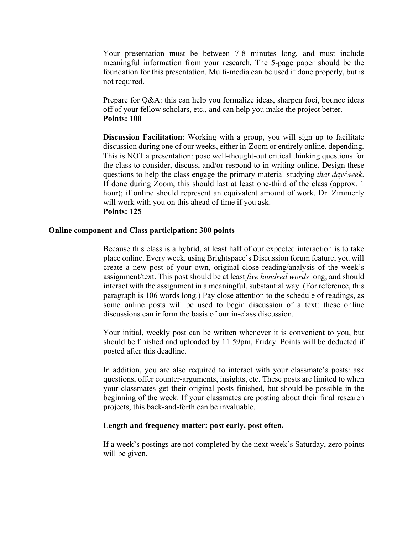Your presentation must be between 7-8 minutes long, and must include meaningful information from your research. The 5-page paper should be the foundation for this presentation. Multi-media can be used if done properly, but is not required.

Prepare for Q&A: this can help you formalize ideas, sharpen foci, bounce ideas off of your fellow scholars, etc., and can help you make the project better. **Points: 100** 

**Discussion Facilitation**: Working with a group, you will sign up to facilitate discussion during one of our weeks, either in-Zoom or entirely online, depending. This is NOT a presentation: pose well-thought-out critical thinking questions for the class to consider, discuss, and/or respond to in writing online. Design these questions to help the class engage the primary material studying *that day/week*. If done during Zoom, this should last at least one-third of the class (approx. 1 hour); if online should represent an equivalent amount of work. Dr. Zimmerly will work with you on this ahead of time if you ask. **Points: 125**

#### **Online component and Class participation: 300 points**

 Because this class is a hybrid, at least half of our expected interaction is to take place online. Every week, using Brightspace's Discussion forum feature, you will create a new post of your own, original close reading/analysis of the week's assignment/text. This post should be at least *five hundred words* long, and should interact with the assignment in a meaningful, substantial way. (For reference, this paragraph is 106 words long.) Pay close attention to the schedule of readings, as some online posts will be used to begin discussion of a text: these online discussions can inform the basis of our in-class discussion.

 Your initial, weekly post can be written whenever it is convenient to you, but should be finished and uploaded by 11:59pm, Friday. Points will be deducted if posted after this deadline.

 In addition, you are also required to interact with your classmate's posts: ask questions, offer counter-arguments, insights, etc. These posts are limited to when your classmates get their original posts finished, but should be possible in the beginning of the week. If your classmates are posting about their final research projects, this back-and-forth can be invaluable.

#### **Length and frequency matter: post early, post often.**

 If a week's postings are not completed by the next week's Saturday, zero points will be given.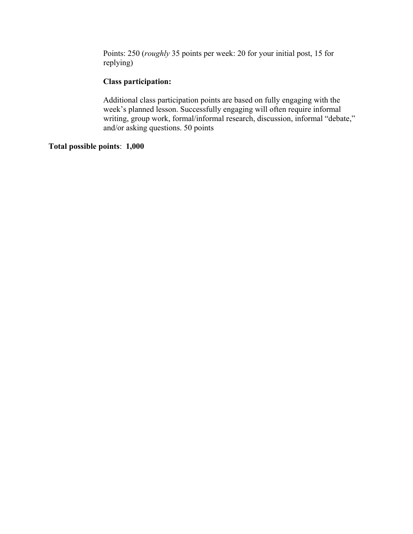Points: 250 (*roughly* 35 points per week: 20 for your initial post, 15 for replying)

## **Class participation:**

 Additional class participation points are based on fully engaging with the week's planned lesson. Successfully engaging will often require informal writing, group work, formal/informal research, discussion, informal "debate," and/or asking questions. 50 points

# **Total possible points**: **1,000**